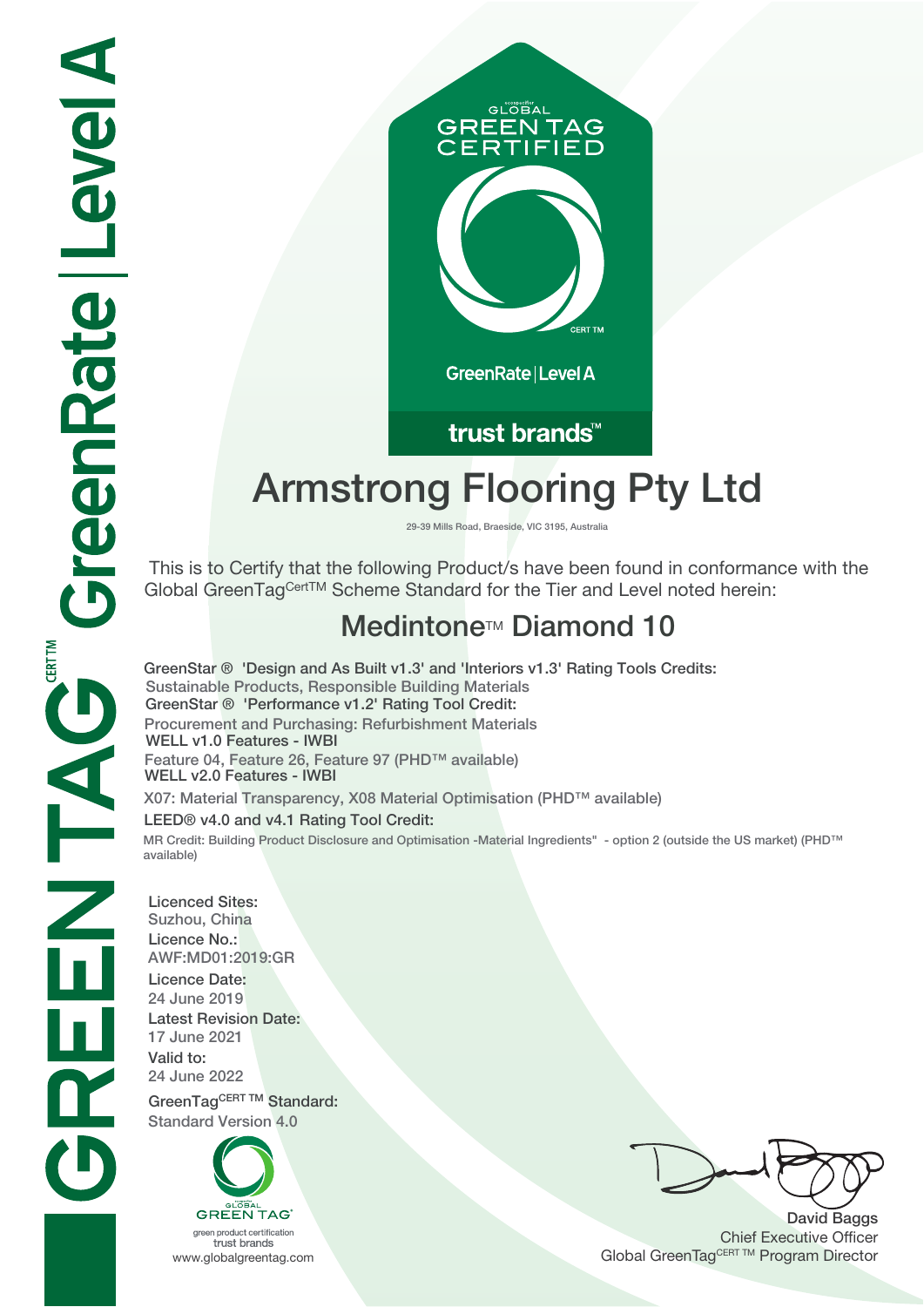

trust brands<sup>™</sup>

# **Armstrong Flooring Pty Ltd**

**29-39 Mills Road, Braeside, VIC 3195, Australia**

 This is to Certify that the following Product/s have been found in conformance with the Global GreenTagCertTM Scheme Standard for the Tier and Level noted herein:

## **Medintone<sup>™</sup> Diamond 10**

**GreenStar ® 'Design and As Built v1.3' and 'Interiors v1.3' Rating Tools Credits: Sustainable Products, Responsible Building Materials GreenStar ® 'Performance v1.2' Rating Tool Credit: Procurement and Purchasing: Refurbishment Materials WELL v1.0 Features - IWBI Feature 04, Feature 26, Feature 97 (PHD™ available) WELL v2.0 Features - IWBI X07: Material Transparency, X08 Material Optimisation (PHD™ available) LEED® v4.0 and v4.1 Rating Tool Credit:**

**MR Credit: Building Product Disclosure and Optimisation -Material Ingredients" - option 2 (outside the US market) (PHD™ available)**

**Licenced Sites: Suzhou, China Licence No.: AWF:MD01:2019:GR Licence Date: 24 June 2019 Latest Revision Date: 17 June 2021 Valid to: 24 June 2022**

**GreenTagCERT TM Standard: Standard Version 4.0**



green product certification trust brands

**David Baggs** Chief Executive Officer WWW.globalgreentag.com **Program Director** Clobal GreenTagCERT TM Program Director